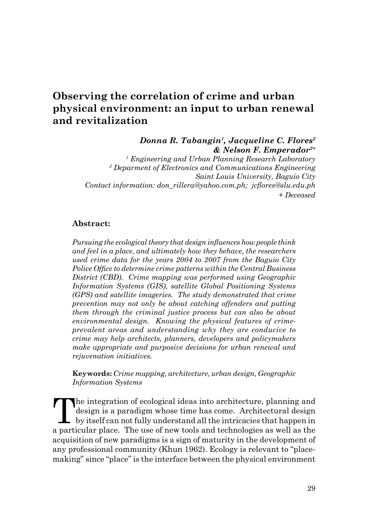# **Observing the correlation of crime and urban physical environment: an input to urban renewal and revitalization**

*Donna R. Tabangin1, Jacqueline C. Flores2 & Nelson F. Emperador2+*

*1 Engineering and Urban Planning Research Laboratory 2 Deparment of Electronics and Communications Engineering Saint Louis University, Baguio City Contact information: don\_rillera@yahoo.com.ph; jcflores@slu.edu.ph + Deceased*

#### **Abstract:**

*Pursuing the ecological theory that design influences how people think and feel in a place, and ultimately how they behave, the researchers used crime data for the years 2004 to 2007 from the Baguio City Police Office to determine crime patterns within the Central Business District (CBD). Crime mapping was performed using Geographic Information Systems (GIS), satellite Global Positioning Systems (GPS) and satellite imageries. The study demonstrated that crime prevention may not only be about catching offenders and putting them through the criminal justice process but can also be about environmental design. Knowing the physical features of crimeprevalent areas and understanding why they are conducive to crime may help architects, planners, developers and policymakers make appropriate and purposive decisions for urban renewal and rejuvenation initiatives.* 

**Keywords:** *Crime mapping, architecture, urban design, Geographic Information Systems*

The integration of ecological ideas into architecture, planning and design is a paradigm whose time has come. Architectural design by itself can not fully understand all the intricacies that happen in The integration of ecological ideas into architecture, planning and design is a paradigm whose time has come. Architectural design a particular place. The use of new tools and technologies as well as the acquisition of new paradigms is a sign of maturity in the development of any professional community (Khun 1962). Ecology is relevant to "placemaking" since "place" is the interface between the physical environment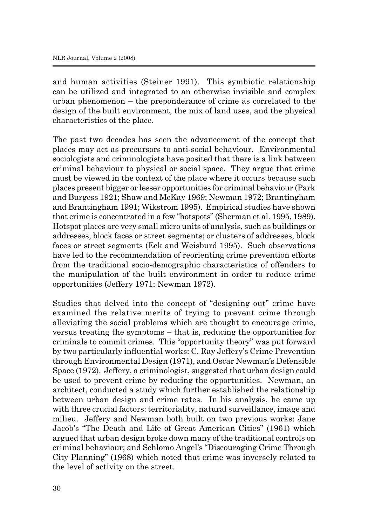and human activities (Steiner 1991). This symbiotic relationship can be utilized and integrated to an otherwise invisible and complex urban phenomenon – the preponderance of crime as correlated to the design of the built environment, the mix of land uses, and the physical characteristics of the place.

The past two decades has seen the advancement of the concept that places may act as precursors to anti-social behaviour. Environmental sociologists and criminologists have posited that there is a link between criminal behaviour to physical or social space. They argue that crime must be viewed in the context of the place where it occurs because such places present bigger or lesser opportunities for criminal behaviour (Park and Burgess 1921; Shaw and McKay 1969; Newman 1972; Brantingham and Brantingham 1991; Wikstrom 1995). Empirical studies have shown that crime is concentrated in a few "hotspots" (Sherman et al. 1995, 1989). Hotspot places are very small micro units of analysis, such as buildings or addresses, block faces or street segments; or clusters of addresses, block faces or street segments (Eck and Weisburd 1995). Such observations have led to the recommendation of reorienting crime prevention efforts from the traditional socio-demographic characteristics of offenders to the manipulation of the built environment in order to reduce crime opportunities (Jeffery 1971; Newman 1972).

Studies that delved into the concept of "designing out" crime have examined the relative merits of trying to prevent crime through alleviating the social problems which are thought to encourage crime, versus treating the symptoms – that is, reducing the opportunities for criminals to commit crimes. This "opportunity theory" was put forward by two particularly influential works: C. Ray Jeffery's Crime Prevention through Environmental Design (1971), and Oscar Newman's Defensible Space (1972). Jeffery, a criminologist, suggested that urban design could be used to prevent crime by reducing the opportunities. Newman, an architect, conducted a study which further established the relationship between urban design and crime rates. In his analysis, he came up with three crucial factors: territoriality, natural surveillance, image and milieu. Jeffery and Newman both built on two previous works: Jane Jacob's "The Death and Life of Great American Cities" (1961) which argued that urban design broke down many of the traditional controls on criminal behaviour; and Schlomo Angel's "Discouraging Crime Through City Planning" (1968) which noted that crime was inversely related to the level of activity on the street.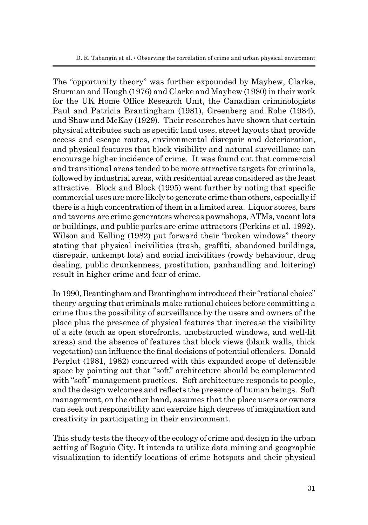The "opportunity theory" was further expounded by Mayhew, Clarke, Sturman and Hough (1976) and Clarke and Mayhew (1980) in their work for the UK Home Office Research Unit, the Canadian criminologists Paul and Patricia Brantingham (1981), Greenberg and Rohe (1984), and Shaw and McKay (1929). Their researches have shown that certain physical attributes such as specific land uses, street layouts that provide access and escape routes, environmental disrepair and deterioration, and physical features that block visibility and natural surveillance can encourage higher incidence of crime. It was found out that commercial and transitional areas tended to be more attractive targets for criminals, followed by industrial areas, with residential areas considered as the least attractive. Block and Block (1995) went further by noting that specific commercial uses are more likely to generate crime than others, especially if there is a high concentration of them in a limited area. Liquor stores, bars and taverns are crime generators whereas pawnshops, ATMs, vacant lots or buildings, and public parks are crime attractors (Perkins et al. 1992). Wilson and Kelling (1982) put forward their "broken windows" theory stating that physical incivilities (trash, graffiti, abandoned buildings, disrepair, unkempt lots) and social incivilities (rowdy behaviour, drug dealing, public drunkenness, prostitution, panhandling and loitering) result in higher crime and fear of crime.

In 1990, Brantingham and Brantingham introduced their "rational choice" theory arguing that criminals make rational choices before committing a crime thus the possibility of surveillance by the users and owners of the place plus the presence of physical features that increase the visibility of a site (such as open storefronts, unobstructed windows, and well-lit areas) and the absence of features that block views (blank walls, thick vegetation) can influence the final decisions of potential offenders. Donald Perglut (1981, 1982) concurred with this expanded scope of defensible space by pointing out that "soft" architecture should be complemented with "soft" management practices. Soft architecture responds to people, and the design welcomes and reflects the presence of human beings. Soft management, on the other hand, assumes that the place users or owners can seek out responsibility and exercise high degrees of imagination and creativity in participating in their environment.

This study tests the theory of the ecology of crime and design in the urban setting of Baguio City. It intends to utilize data mining and geographic visualization to identify locations of crime hotspots and their physical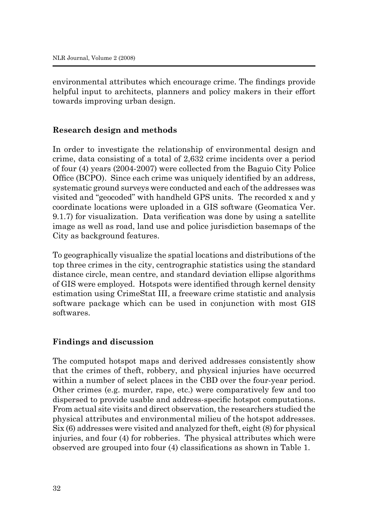environmental attributes which encourage crime. The findings provide helpful input to architects, planners and policy makers in their effort towards improving urban design.

### **Research design and methods**

In order to investigate the relationship of environmental design and crime, data consisting of a total of 2,632 crime incidents over a period of four (4) years (2004-2007) were collected from the Baguio City Police Office (BCPO). Since each crime was uniquely identified by an address, systematic ground surveys were conducted and each of the addresses was visited and "geocoded" with handheld GPS units. The recorded x and y coordinate locations were uploaded in a GIS software (Geomatica Ver. 9.1.7) for visualization. Data verification was done by using a satellite image as well as road, land use and police jurisdiction basemaps of the City as background features.

To geographically visualize the spatial locations and distributions of the top three crimes in the city, centrographic statistics using the standard distance circle, mean centre, and standard deviation ellipse algorithms of GIS were employed. Hotspots were identified through kernel density estimation using CrimeStat III, a freeware crime statistic and analysis software package which can be used in conjunction with most GIS softwares.

#### **Findings and discussion**

The computed hotspot maps and derived addresses consistently show that the crimes of theft, robbery, and physical injuries have occurred within a number of select places in the CBD over the four-year period. Other crimes (e.g. murder, rape, etc.) were comparatively few and too dispersed to provide usable and address-specific hotspot computations. From actual site visits and direct observation, the researchers studied the physical attributes and environmental milieu of the hotspot addresses. Six (6) addresses were visited and analyzed for theft, eight (8) for physical injuries, and four (4) for robberies. The physical attributes which were observed are grouped into four (4) classifications as shown in Table 1.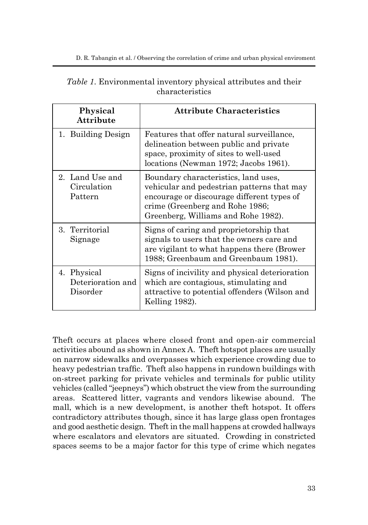| Physical<br><b>Attribute</b>                 | <b>Attribute Characteristics</b>                                                                                                                                                                           |
|----------------------------------------------|------------------------------------------------------------------------------------------------------------------------------------------------------------------------------------------------------------|
| 1. Building Design                           | Features that offer natural surveillance,<br>delineation between public and private<br>space, proximity of sites to well-used<br>locations (Newman 1972; Jacobs 1961).                                     |
| 2. Land Use and<br>Circulation<br>Pattern    | Boundary characteristics, land uses,<br>vehicular and pedestrian patterns that may<br>encourage or discourage different types of<br>crime (Greenberg and Rohe 1986;<br>Greenberg, Williams and Rohe 1982). |
| 3. Territorial<br>Signage                    | Signs of caring and proprietorship that<br>signals to users that the owners care and<br>are vigilant to what happens there (Brower<br>1988; Greenbaum and Greenbaum 1981).                                 |
| 4. Physical<br>Deterioration and<br>Disorder | Signs of incivility and physical deterioration<br>which are contagious, stimulating and<br>attractive to potential offenders (Wilson and<br>Kelling 1982).                                                 |

| <i>Table 1.</i> Environmental inventory physical attributes and their |                 |  |  |
|-----------------------------------------------------------------------|-----------------|--|--|
|                                                                       | characteristics |  |  |

Theft occurs at places where closed front and open-air commercial activities abound as shown in Annex A. Theft hotspot places are usually on narrow sidewalks and overpasses which experience crowding due to heavy pedestrian traffic. Theft also happens in rundown buildings with on-street parking for private vehicles and terminals for public utility vehicles (called "jeepneys") which obstruct the view from the surrounding areas. Scattered litter, vagrants and vendors likewise abound. The mall, which is a new development, is another theft hotspot. It offers contradictory attributes though, since it has large glass open frontages and good aesthetic design. Theft in the mall happens at crowded hallways where escalators and elevators are situated. Crowding in constricted spaces seems to be a major factor for this type of crime which negates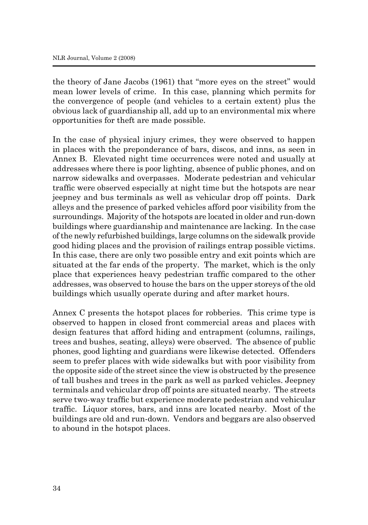the theory of Jane Jacobs (1961) that "more eyes on the street" would mean lower levels of crime. In this case, planning which permits for the convergence of people (and vehicles to a certain extent) plus the obvious lack of guardianship all, add up to an environmental mix where opportunities for theft are made possible.

In the case of physical injury crimes, they were observed to happen in places with the preponderance of bars, discos, and inns, as seen in Annex B. Elevated night time occurrences were noted and usually at addresses where there is poor lighting, absence of public phones, and on narrow sidewalks and overpasses. Moderate pedestrian and vehicular traffic were observed especially at night time but the hotspots are near jeepney and bus terminals as well as vehicular drop off points. Dark alleys and the presence of parked vehicles afford poor visibility from the surroundings. Majority of the hotspots are located in older and run-down buildings where guardianship and maintenance are lacking. In the case of the newly refurbished buildings, large columns on the sidewalk provide good hiding places and the provision of railings entrap possible victims. In this case, there are only two possible entry and exit points which are situated at the far ends of the property. The market, which is the only place that experiences heavy pedestrian traffic compared to the other addresses, was observed to house the bars on the upper storeys of the old buildings which usually operate during and after market hours.

Annex C presents the hotspot places for robberies. This crime type is observed to happen in closed front commercial areas and places with design features that afford hiding and entrapment (columns, railings, trees and bushes, seating, alleys) were observed. The absence of public phones, good lighting and guardians were likewise detected. Offenders seem to prefer places with wide sidewalks but with poor visibility from the opposite side of the street since the view is obstructed by the presence of tall bushes and trees in the park as well as parked vehicles. Jeepney terminals and vehicular drop off points are situated nearby. The streets serve two-way traffic but experience moderate pedestrian and vehicular traffic. Liquor stores, bars, and inns are located nearby. Most of the buildings are old and run-down. Vendors and beggars are also observed to abound in the hotspot places.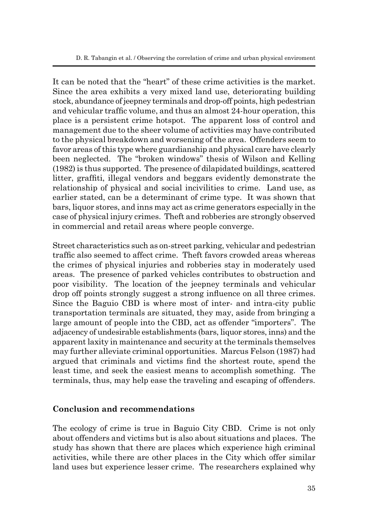It can be noted that the "heart" of these crime activities is the market. Since the area exhibits a very mixed land use, deteriorating building stock, abundance of jeepney terminals and drop-off points, high pedestrian and vehicular traffic volume, and thus an almost 24-hour operation, this place is a persistent crime hotspot. The apparent loss of control and management due to the sheer volume of activities may have contributed to the physical breakdown and worsening of the area. Offenders seem to favor areas of this type where guardianship and physical care have clearly been neglected. The "broken windows" thesis of Wilson and Kelling (1982) is thus supported. The presence of dilapidated buildings, scattered litter, graffiti, illegal vendors and beggars evidently demonstrate the relationship of physical and social incivilities to crime. Land use, as earlier stated, can be a determinant of crime type. It was shown that bars, liquor stores, and inns may act as crime generators especially in the case of physical injury crimes. Theft and robberies are strongly observed in commercial and retail areas where people converge.

Street characteristics such as on-street parking, vehicular and pedestrian traffic also seemed to affect crime. Theft favors crowded areas whereas the crimes of physical injuries and robberies stay in moderately used areas. The presence of parked vehicles contributes to obstruction and poor visibility. The location of the jeepney terminals and vehicular drop off points strongly suggest a strong influence on all three crimes. Since the Baguio CBD is where most of inter- and intra-city public transportation terminals are situated, they may, aside from bringing a large amount of people into the CBD, act as offender "importers". The adjacency of undesirable establishments (bars, liquor stores, inns) and the apparent laxity in maintenance and security at the terminals themselves may further alleviate criminal opportunities. Marcus Felson (1987) had argued that criminals and victims find the shortest route, spend the least time, and seek the easiest means to accomplish something. The terminals, thus, may help ease the traveling and escaping of offenders.

#### **Conclusion and recommendations**

The ecology of crime is true in Baguio City CBD. Crime is not only about offenders and victims but is also about situations and places. The study has shown that there are places which experience high criminal activities, while there are other places in the City which offer similar land uses but experience lesser crime. The researchers explained why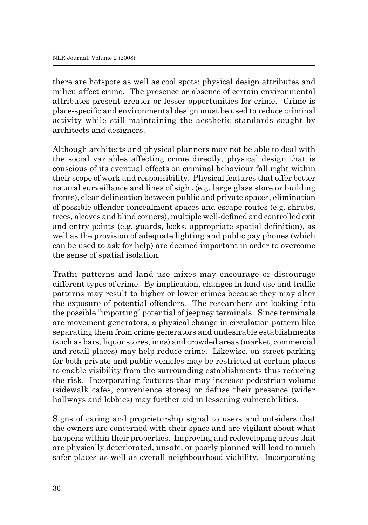there are hotspots as well as cool spots: physical design attributes and milieu affect crime. The presence or absence of certain environmental attributes present greater or lesser opportunities for crime. Crime is place-specific and environmental design must be used to reduce criminal activity while still maintaining the aesthetic standards sought by architects and designers.

Although architects and physical planners may not be able to deal with the social variables affecting crime directly, physical design that is conscious of its eventual effects on criminal behaviour fall right within their scope of work and responsibility. Physical features that offer better natural surveillance and lines of sight (e.g. large glass store or building fronts), clear delineation between public and private spaces, elimination of possible offender concealment spaces and escape routes (e.g. shrubs, trees, alcoves and blind corners), multiple well-defined and controlled exit and entry points (e.g. guards, locks, appropriate spatial definition), as well as the provision of adequate lighting and public pay phones (which can be used to ask for help) are deemed important in order to overcome the sense of spatial isolation.

Traffic patterns and land use mixes may encourage or discourage different types of crime. By implication, changes in land use and traffic patterns may result to higher or lower crimes because they may alter the exposure of potential offenders. The researchers are looking into the possible "importing" potential of jeepney terminals. Since terminals are movement generators, a physical change in circulation pattern like separating them from crime generators and undesirable establishments (such as bars, liquor stores, inns) and crowded areas (market, commercial and retail places) may help reduce crime. Likewise, on-street parking for both private and public vehicles may be restricted at certain places to enable visibility from the surrounding establishments thus reducing the risk. Incorporating features that may increase pedestrian volume (sidewalk cafes, convenience stores) or defuse their presence (wider hallways and lobbies) may further aid in lessening vulnerabilities.

Signs of caring and proprietorship signal to users and outsiders that the owners are concerned with their space and are vigilant about what happens within their properties. Improving and redeveloping areas that are physically deteriorated, unsafe, or poorly planned will lead to much safer places as well as overall neighbourhood viability. Incorporating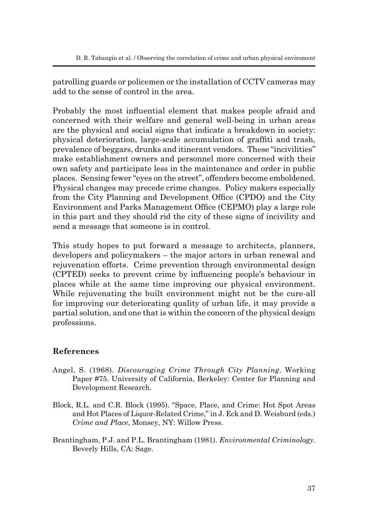patrolling guards or policemen or the installation of CCTV cameras may add to the sense of control in the area.

Probably the most influential element that makes people afraid and concerned with their welfare and general well-being in urban areas are the physical and social signs that indicate a breakdown in society: physical deterioration, large-scale accumulation of graffiti and trash, prevalence of beggars, drunks and itinerant vendors. These "incivilities" make establishment owners and personnel more concerned with their own safety and participate less in the maintenance and order in public places. Sensing fewer "eyes on the street", offenders become emboldened. Physical changes may precede crime changes. Policy makers especially from the City Planning and Development Office (CPDO) and the City Environment and Parks Management Office (CEPMO) play a large role in this part and they should rid the city of these signs of incivility and send a message that someone is in control.

This study hopes to put forward a message to architects, planners, developers and policymakers – the major actors in urban renewal and rejuvenation efforts. Crime prevention through environmental design (CPTED) seeks to prevent crime by influencing people's behaviour in places while at the same time improving our physical environment. While rejuvenating the built environment might not be the cure-all for improving our deteriorating quality of urban life, it may provide a partial solution, and one that is within the concern of the physical design professions.

### **References**

- Angel, S. (1968). *Discouraging Crime Through City Planning*. Working Paper #75. University of California, Berkeley: Center for Planning and Development Research.
- Block, R.L. and C.R. Block (1995). "Space, Place, and Crime: Hot Spot Areas and Hot Places of Liquor-Related Crime," in J. Eck and D. Weisburd (eds.) *Crime and Place*, Monsey, NY: Willow Press.
- Brantingham, P.J. and P.L. Brantingham (1981). *Environmental Criminology*. Beverly Hills, CA: Sage.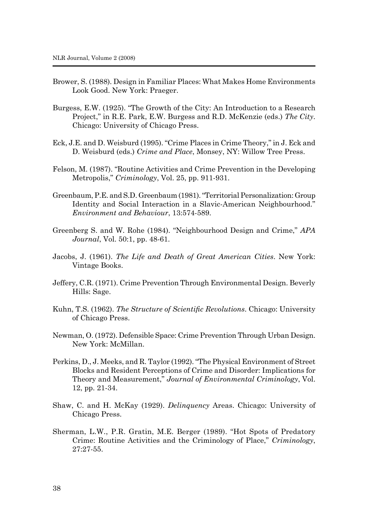- Brower, S. (1988). Design in Familiar Places: What Makes Home Environments Look Good. New York: Praeger.
- Burgess, E.W. (1925). "The Growth of the City: An Introduction to a Research Project," in R.E. Park, E.W. Burgess and R.D. McKenzie (eds.) *The City*. Chicago: University of Chicago Press.
- Eck, J.E. and D. Weisburd (1995). "Crime Places in Crime Theory," in J. Eck and D. Weisburd (eds.) *Crime and Place*, Monsey, NY: Willow Tree Press.
- Felson, M. (1987). "Routine Activities and Crime Prevention in the Developing Metropolis," *Criminology*, Vol. 25, pp. 911-931.
- Greenbaum, P.E. and S.D. Greenbaum (1981). "Territorial Personalization: Group Identity and Social Interaction in a Slavic-American Neighbourhood." *Environment and Behaviour*, 13:574-589.
- Greenberg S. and W. Rohe (1984). "Neighbourhood Design and Crime," *APA Journal*, Vol. 50:1, pp. 48-61.
- Jacobs, J. (1961). *The Life and Death of Great American Cities*. New York: Vintage Books.
- Jeffery, C.R. (1971). Crime Prevention Through Environmental Design. Beverly Hills: Sage.
- Kuhn, T.S. (1962). *The Structure of Scientific Revolutions*. Chicago: University of Chicago Press.
- Newman, O. (1972). Defensible Space: Crime Prevention Through Urban Design. New York: McMillan.
- Perkins, D., J. Meeks, and R. Taylor (1992). "The Physical Environment of Street Blocks and Resident Perceptions of Crime and Disorder: Implications for Theory and Measurement," *Journal of Environmental Criminology*, Vol. 12, pp. 21-34.
- Shaw, C. and H. McKay (1929). *Delinquency* Areas. Chicago: University of Chicago Press.
- Sherman, L.W., P.R. Gratin, M.E. Berger (1989). "Hot Spots of Predatory Crime: Routine Activities and the Criminology of Place," *Criminology*, 27:27-55.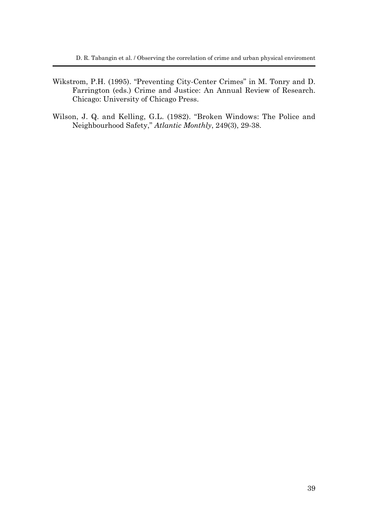- Wikstrom, P.H. (1995). "Preventing City-Center Crimes" in M. Tonry and D. Farrington (eds.) Crime and Justice: An Annual Review of Research. Chicago: University of Chicago Press.
- Wilson, J. Q. and Kelling, G.L. (1982). "Broken Windows: The Police and Neighbourhood Safety," *Atlantic Monthly*, 249(3), 29-38.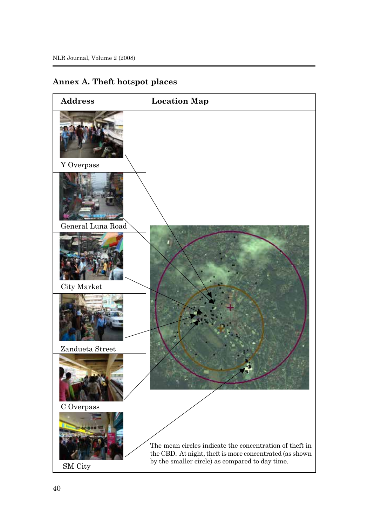## **Annex A. Theft hotspot places**

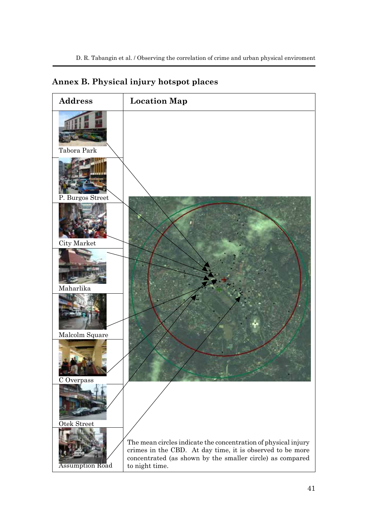## **Annex B. Physical injury hotspot places**